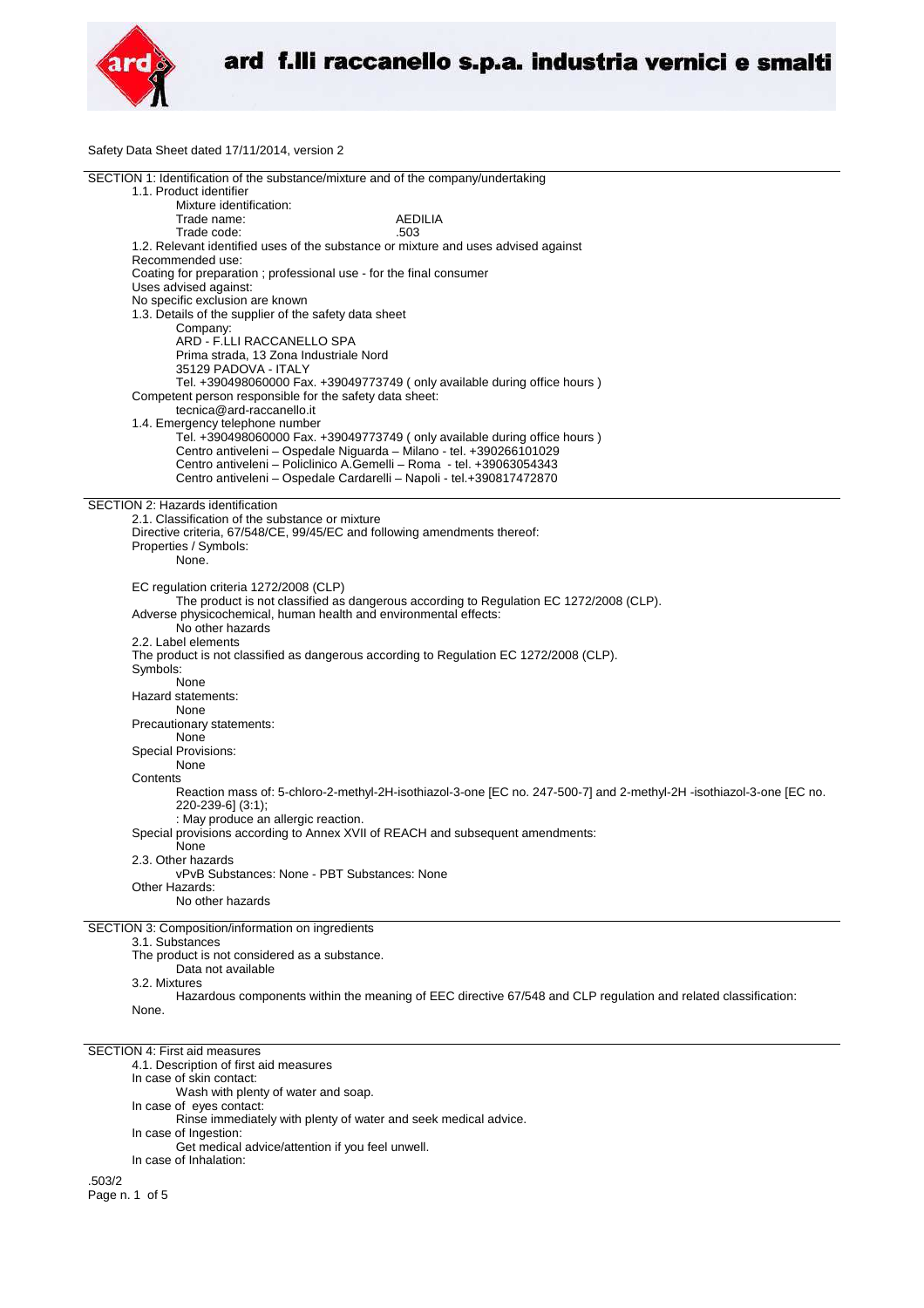

Safety Data Sheet dated 17/11/2014, version 2

| SECTION 1: Identification of the substance/mixture and of the company/undertaking                                    |
|----------------------------------------------------------------------------------------------------------------------|
| 1.1. Product identifier                                                                                              |
| Mixture identification:                                                                                              |
| Trade name:<br>AEDILIA                                                                                               |
| Trade code:<br>.503                                                                                                  |
| 1.2. Relevant identified uses of the substance or mixture and uses advised against                                   |
| Recommended use:                                                                                                     |
| Coating for preparation ; professional use - for the final consumer                                                  |
| Uses advised against:                                                                                                |
| No specific exclusion are known                                                                                      |
| 1.3. Details of the supplier of the safety data sheet                                                                |
| Company:                                                                                                             |
| ARD - F.LLI RACCANELLO SPA                                                                                           |
| Prima strada, 13 Zona Industriale Nord                                                                               |
| 35129 PADOVA - ITALY                                                                                                 |
| Tel. +390498060000 Fax. +39049773749 ( only available during office hours )                                          |
| Competent person responsible for the safety data sheet:                                                              |
| tecnica@ard-raccanello.it                                                                                            |
| 1.4. Emergency telephone number                                                                                      |
| Tel. +390498060000 Fax. +39049773749 (only available during office hours)                                            |
| Centro antiveleni - Ospedale Niguarda - Milano - tel. +390266101029                                                  |
| Centro antiveleni – Policlinico A.Gemelli – Roma - tel. +39063054343                                                 |
| Centro antiveleni - Ospedale Cardarelli - Napoli - tel.+390817472870                                                 |
|                                                                                                                      |
| SECTION 2: Hazards identification                                                                                    |
| 2.1. Classification of the substance or mixture                                                                      |
| Directive criteria, 67/548/CE, 99/45/EC and following amendments thereof:                                            |
|                                                                                                                      |
| Properties / Symbols:                                                                                                |
| None.                                                                                                                |
|                                                                                                                      |
| EC regulation criteria 1272/2008 (CLP)                                                                               |
| The product is not classified as dangerous according to Regulation EC 1272/2008 (CLP).                               |
| Adverse physicochemical, human health and environmental effects:                                                     |
| No other hazards                                                                                                     |
| 2.2. Label elements                                                                                                  |
| The product is not classified as dangerous according to Regulation EC 1272/2008 (CLP).                               |
| Symbols:                                                                                                             |
| None                                                                                                                 |
| Hazard statements:                                                                                                   |
| None                                                                                                                 |
| Precautionary statements:                                                                                            |
| None                                                                                                                 |
| <b>Special Provisions:</b>                                                                                           |
| None                                                                                                                 |
| Contents                                                                                                             |
| Reaction mass of: 5-chloro-2-methyl-2H-isothiazol-3-one [EC no. 247-500-7] and 2-methyl-2H -isothiazol-3-one [EC no. |
| 220-239-6] (3:1);                                                                                                    |
| : May produce an allergic reaction.                                                                                  |
| Special provisions according to Annex XVII of REACH and subsequent amendments:                                       |
| None                                                                                                                 |
| 2.3. Other hazards                                                                                                   |
| vPvB Substances: None - PBT Substances: None                                                                         |
| Other Hazards:                                                                                                       |
| No other hazards                                                                                                     |
|                                                                                                                      |
| SECTION 3: Composition/information on ingredients                                                                    |
| 3.1. Substances                                                                                                      |
| The product is not considered as a substance.                                                                        |
|                                                                                                                      |
|                                                                                                                      |
| Data not available                                                                                                   |
| 3.2. Mixtures                                                                                                        |
| Hazardous components within the meaning of EEC directive 67/548 and CLP regulation and related classification:       |
| None.                                                                                                                |
|                                                                                                                      |
|                                                                                                                      |
| <b>SECTION 4: First aid measures</b>                                                                                 |
| 4.1. Description of first aid measures                                                                               |
| In case of skin contact:                                                                                             |
| Wash with plenty of water and soap.                                                                                  |
| In case of eyes contact:                                                                                             |
| Rinse immediately with plenty of water and seek medical advice.                                                      |
| In case of Ingestion:                                                                                                |
| Get medical advice/attention if you feel unwell.                                                                     |
| In case of Inhalation:                                                                                               |

.503/2 Page n. 1 of 5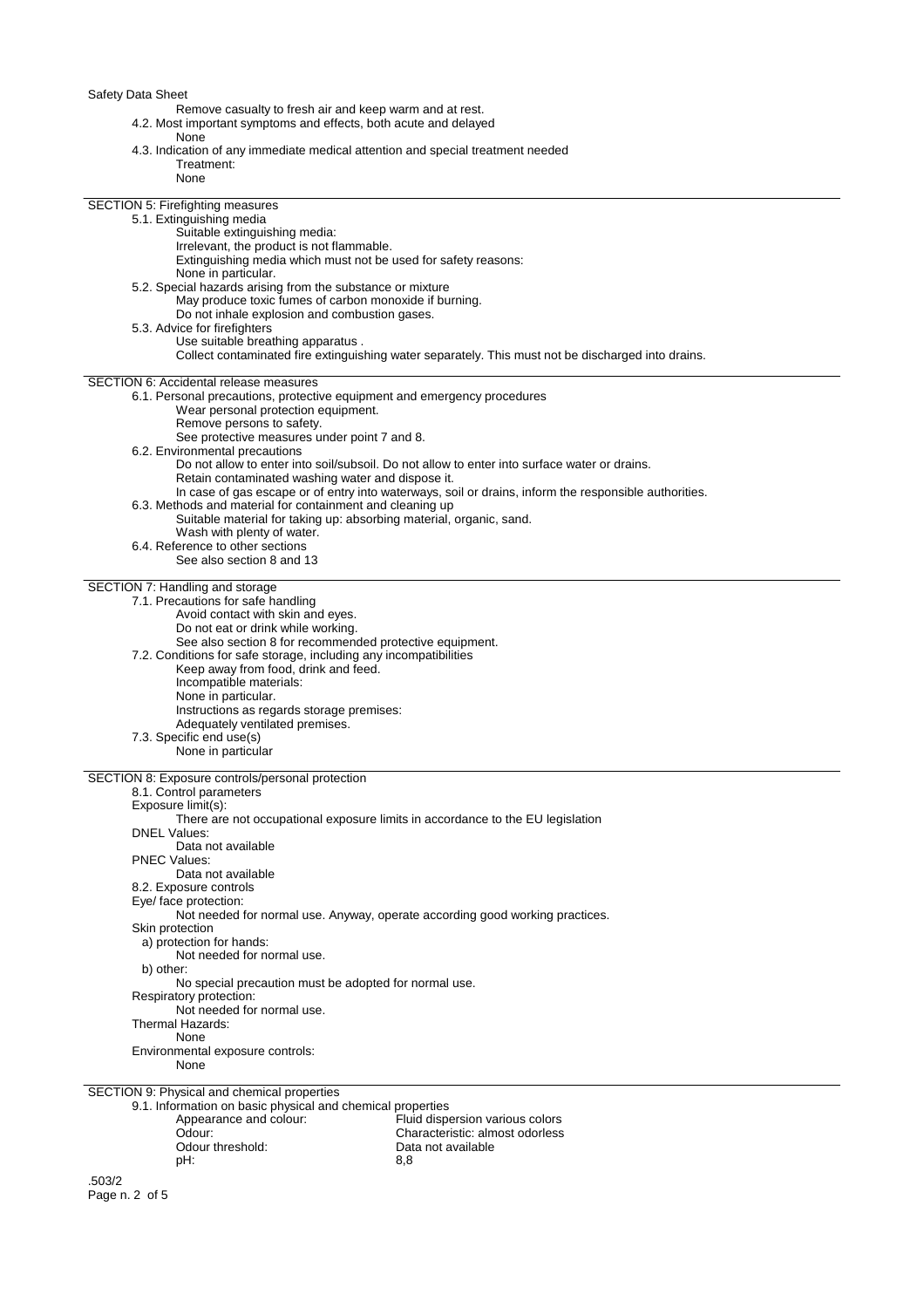## Safety Data Sheet

- Remove casualty to fresh air and keep warm and at rest.
- 4.2. Most important symptoms and effects, both acute and delayed
	- None
- 4.3. Indication of any immediate medical attention and special treatment needed

| Treatment:                                                                                                |                                                                                                       |
|-----------------------------------------------------------------------------------------------------------|-------------------------------------------------------------------------------------------------------|
| None                                                                                                      |                                                                                                       |
|                                                                                                           |                                                                                                       |
| SECTION 5: Firefighting measures<br>5.1. Extinguishing media                                              |                                                                                                       |
| Suitable extinguishing media:                                                                             |                                                                                                       |
| Irrelevant, the product is not flammable.                                                                 |                                                                                                       |
| Extinguishing media which must not be used for safety reasons:                                            |                                                                                                       |
| None in particular.                                                                                       |                                                                                                       |
| 5.2. Special hazards arising from the substance or mixture                                                |                                                                                                       |
| May produce toxic fumes of carbon monoxide if burning.                                                    |                                                                                                       |
| Do not inhale explosion and combustion gases.                                                             |                                                                                                       |
| 5.3. Advice for firefighters<br>Use suitable breathing apparatus.                                         |                                                                                                       |
|                                                                                                           | Collect contaminated fire extinguishing water separately. This must not be discharged into drains.    |
|                                                                                                           |                                                                                                       |
| <b>SECTION 6: Accidental release measures</b>                                                             |                                                                                                       |
| 6.1. Personal precautions, protective equipment and emergency procedures                                  |                                                                                                       |
| Wear personal protection equipment.                                                                       |                                                                                                       |
| Remove persons to safety.                                                                                 |                                                                                                       |
| See protective measures under point 7 and 8.<br>6.2. Environmental precautions                            |                                                                                                       |
|                                                                                                           | Do not allow to enter into soil/subsoil. Do not allow to enter into surface water or drains.          |
| Retain contaminated washing water and dispose it.                                                         |                                                                                                       |
|                                                                                                           | In case of gas escape or of entry into waterways, soil or drains, inform the responsible authorities. |
| 6.3. Methods and material for containment and cleaning up                                                 |                                                                                                       |
| Suitable material for taking up: absorbing material, organic, sand.                                       |                                                                                                       |
| Wash with plenty of water.                                                                                |                                                                                                       |
| 6.4. Reference to other sections<br>See also section 8 and 13                                             |                                                                                                       |
|                                                                                                           |                                                                                                       |
| SECTION 7: Handling and storage                                                                           |                                                                                                       |
| 7.1. Precautions for safe handling                                                                        |                                                                                                       |
| Avoid contact with skin and eyes.                                                                         |                                                                                                       |
| Do not eat or drink while working.                                                                        |                                                                                                       |
| See also section 8 for recommended protective equipment.                                                  |                                                                                                       |
| 7.2. Conditions for safe storage, including any incompatibilities<br>Keep away from food, drink and feed. |                                                                                                       |
| Incompatible materials:                                                                                   |                                                                                                       |
| None in particular.                                                                                       |                                                                                                       |
| Instructions as regards storage premises:                                                                 |                                                                                                       |
| Adequately ventilated premises.                                                                           |                                                                                                       |
| 7.3. Specific end use(s)                                                                                  |                                                                                                       |
| None in particular                                                                                        |                                                                                                       |
| SECTION 8: Exposure controls/personal protection                                                          |                                                                                                       |
| 8.1. Control parameters                                                                                   |                                                                                                       |
| Exposure limit(s):                                                                                        |                                                                                                       |
|                                                                                                           | There are not occupational exposure limits in accordance to the EU legislation                        |
| <b>DNEL Values:</b>                                                                                       |                                                                                                       |
| Data not available                                                                                        |                                                                                                       |
| <b>PNEC Values:</b><br>Data not available                                                                 |                                                                                                       |
| 8.2. Exposure controls                                                                                    |                                                                                                       |
| Eye/ face protection:                                                                                     |                                                                                                       |
|                                                                                                           | Not needed for normal use. Anyway, operate according good working practices.                          |
| Skin protection                                                                                           |                                                                                                       |
| a) protection for hands:                                                                                  |                                                                                                       |
| Not needed for normal use.                                                                                |                                                                                                       |
| b) other:                                                                                                 |                                                                                                       |
| No special precaution must be adopted for normal use.<br>Respiratory protection:                          |                                                                                                       |
| Not needed for normal use.                                                                                |                                                                                                       |
| Thermal Hazards:                                                                                          |                                                                                                       |
| None                                                                                                      |                                                                                                       |
| Environmental exposure controls:                                                                          |                                                                                                       |
| None                                                                                                      |                                                                                                       |
|                                                                                                           |                                                                                                       |
| SECTION 9: Physical and chemical properties<br>9.1. Information on basic physical and chemical properties |                                                                                                       |
| Appearance and colour:                                                                                    | Fluid dispersion various colors                                                                       |
| Odour:                                                                                                    | Characteristic: almost odorless                                                                       |
| Odour threshold:                                                                                          | Data not available                                                                                    |
| pH:                                                                                                       | 8,8                                                                                                   |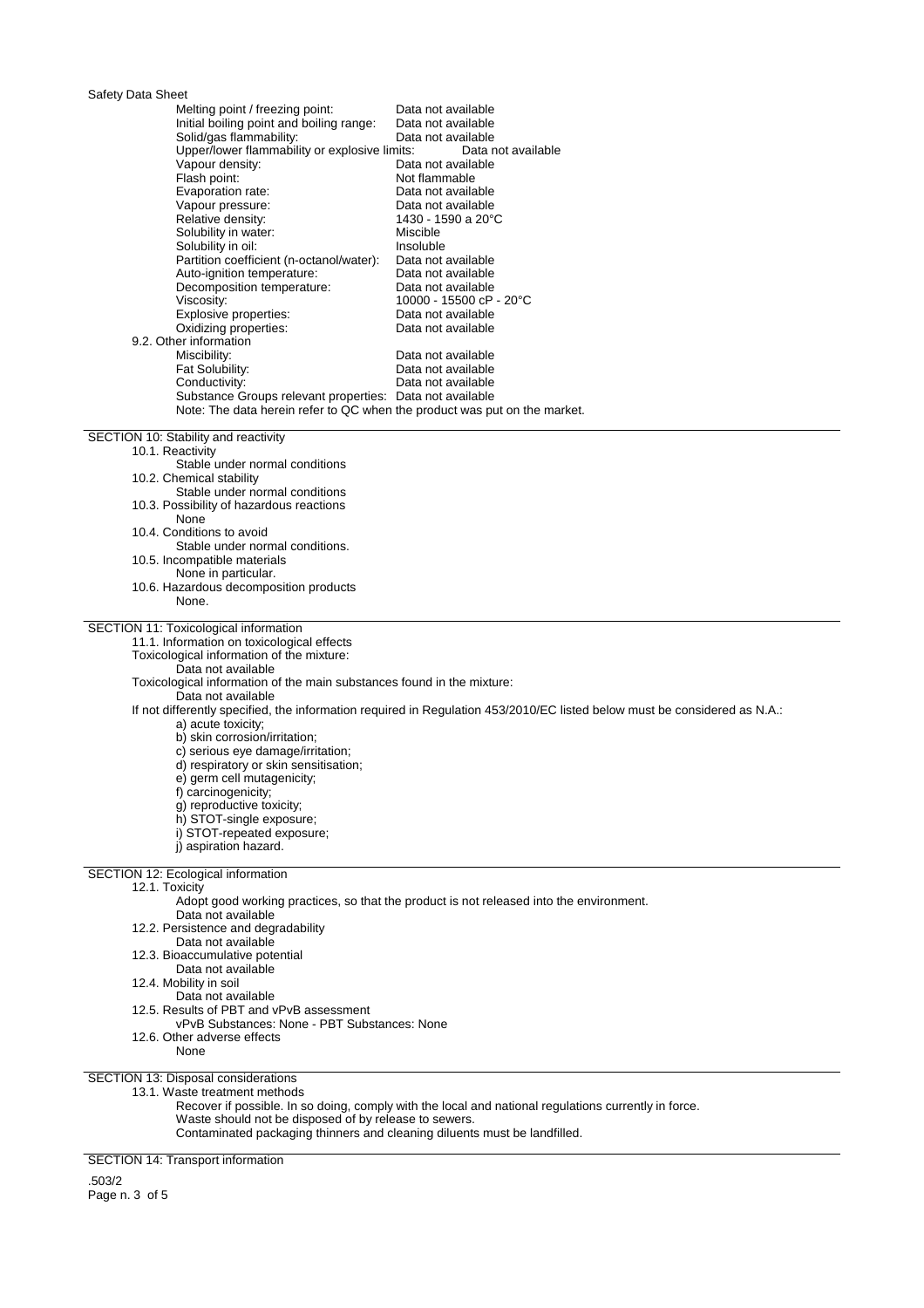# Safety Data Sheet

| Udiciy Dala Uncci                                                                                                                  | Data not available                                                                                                        |
|------------------------------------------------------------------------------------------------------------------------------------|---------------------------------------------------------------------------------------------------------------------------|
| Melting point / freezing point:<br>Initial boiling point and boiling range:                                                        | Data not available                                                                                                        |
| Solid/gas flammability:                                                                                                            | Data not available                                                                                                        |
| Upper/lower flammability or explosive limits:                                                                                      | Data not available                                                                                                        |
| Vapour density:                                                                                                                    | Data not available                                                                                                        |
| Flash point:                                                                                                                       | Not flammable                                                                                                             |
| Evaporation rate:                                                                                                                  | Data not available                                                                                                        |
| Vapour pressure:                                                                                                                   | Data not available                                                                                                        |
| Relative density:                                                                                                                  | 1430 - 1590 a 20°C                                                                                                        |
| Solubility in water:                                                                                                               | Miscible                                                                                                                  |
| Solubility in oil:                                                                                                                 | Insoluble                                                                                                                 |
| Partition coefficient (n-octanol/water):<br>Auto-ignition temperature:                                                             | Data not available<br>Data not available                                                                                  |
| Decomposition temperature:                                                                                                         | Data not available                                                                                                        |
| Viscosity:                                                                                                                         | 10000 - 15500 cP - 20°C                                                                                                   |
| Explosive properties:                                                                                                              | Data not available                                                                                                        |
| Oxidizing properties:                                                                                                              | Data not available                                                                                                        |
| 9.2. Other information                                                                                                             |                                                                                                                           |
| Miscibility:                                                                                                                       | Data not available                                                                                                        |
| Fat Solubility:                                                                                                                    | Data not available                                                                                                        |
| Conductivity:<br>Substance Groups relevant properties: Data not available                                                          | Data not available                                                                                                        |
| Note: The data herein refer to QC when the product was put on the market.                                                          |                                                                                                                           |
|                                                                                                                                    |                                                                                                                           |
| SECTION 10: Stability and reactivity                                                                                               |                                                                                                                           |
| 10.1. Reactivity                                                                                                                   |                                                                                                                           |
| Stable under normal conditions                                                                                                     |                                                                                                                           |
| 10.2. Chemical stability<br>Stable under normal conditions                                                                         |                                                                                                                           |
| 10.3. Possibility of hazardous reactions                                                                                           |                                                                                                                           |
| None                                                                                                                               |                                                                                                                           |
| 10.4. Conditions to avoid                                                                                                          |                                                                                                                           |
| Stable under normal conditions.                                                                                                    |                                                                                                                           |
| 10.5. Incompatible materials                                                                                                       |                                                                                                                           |
| None in particular.                                                                                                                |                                                                                                                           |
| 10.6. Hazardous decomposition products<br>None.                                                                                    |                                                                                                                           |
|                                                                                                                                    |                                                                                                                           |
| SECTION 11: Toxicological information                                                                                              |                                                                                                                           |
| 11.1. Information on toxicological effects                                                                                         |                                                                                                                           |
| Toxicological information of the mixture:                                                                                          |                                                                                                                           |
| Data not available                                                                                                                 |                                                                                                                           |
| Toxicological information of the main substances found in the mixture:                                                             |                                                                                                                           |
| Data not available                                                                                                                 |                                                                                                                           |
| a) acute toxicity;                                                                                                                 | If not differently specified, the information required in Regulation 453/2010/EC listed below must be considered as N.A.: |
| b) skin corrosion/irritation;                                                                                                      |                                                                                                                           |
| c) serious eye damage/irritation;                                                                                                  |                                                                                                                           |
| d) respiratory or skin sensitisation;                                                                                              |                                                                                                                           |
| e) germ cell mutagenicity;                                                                                                         |                                                                                                                           |
| f) carcinogenicity;                                                                                                                |                                                                                                                           |
| g) reproductive toxicity;                                                                                                          |                                                                                                                           |
| h) STOT-single exposure;                                                                                                           |                                                                                                                           |
| i) STOT-repeated exposure;<br>j) aspiration hazard.                                                                                |                                                                                                                           |
|                                                                                                                                    |                                                                                                                           |
| <b>SECTION 12: Ecological information</b>                                                                                          |                                                                                                                           |
| 12.1. Toxicity                                                                                                                     |                                                                                                                           |
|                                                                                                                                    | Adopt good working practices, so that the product is not released into the environment.                                   |
| Data not available                                                                                                                 |                                                                                                                           |
| 12.2. Persistence and degradability<br>Data not available                                                                          |                                                                                                                           |
| 12.3. Bioaccumulative potential                                                                                                    |                                                                                                                           |
| Data not available                                                                                                                 |                                                                                                                           |
| 12.4. Mobility in soil                                                                                                             |                                                                                                                           |
| Data not available                                                                                                                 |                                                                                                                           |
| 12.5. Results of PBT and vPvB assessment                                                                                           |                                                                                                                           |
| vPvB Substances: None - PBT Substances: None                                                                                       |                                                                                                                           |
| 12.6. Other adverse effects<br>None                                                                                                |                                                                                                                           |
|                                                                                                                                    |                                                                                                                           |
| SECTION 13: Disposal considerations                                                                                                |                                                                                                                           |
| 13.1. Waste treatment methods                                                                                                      |                                                                                                                           |
|                                                                                                                                    | Recover if possible. In so doing, comply with the local and national regulations currently in force.                      |
| Waste should not be disposed of by release to sewers.<br>Contaminated packaging thinners and cleaning diluents must be landfilled. |                                                                                                                           |
|                                                                                                                                    |                                                                                                                           |

SECTION 14: Transport information

.503/2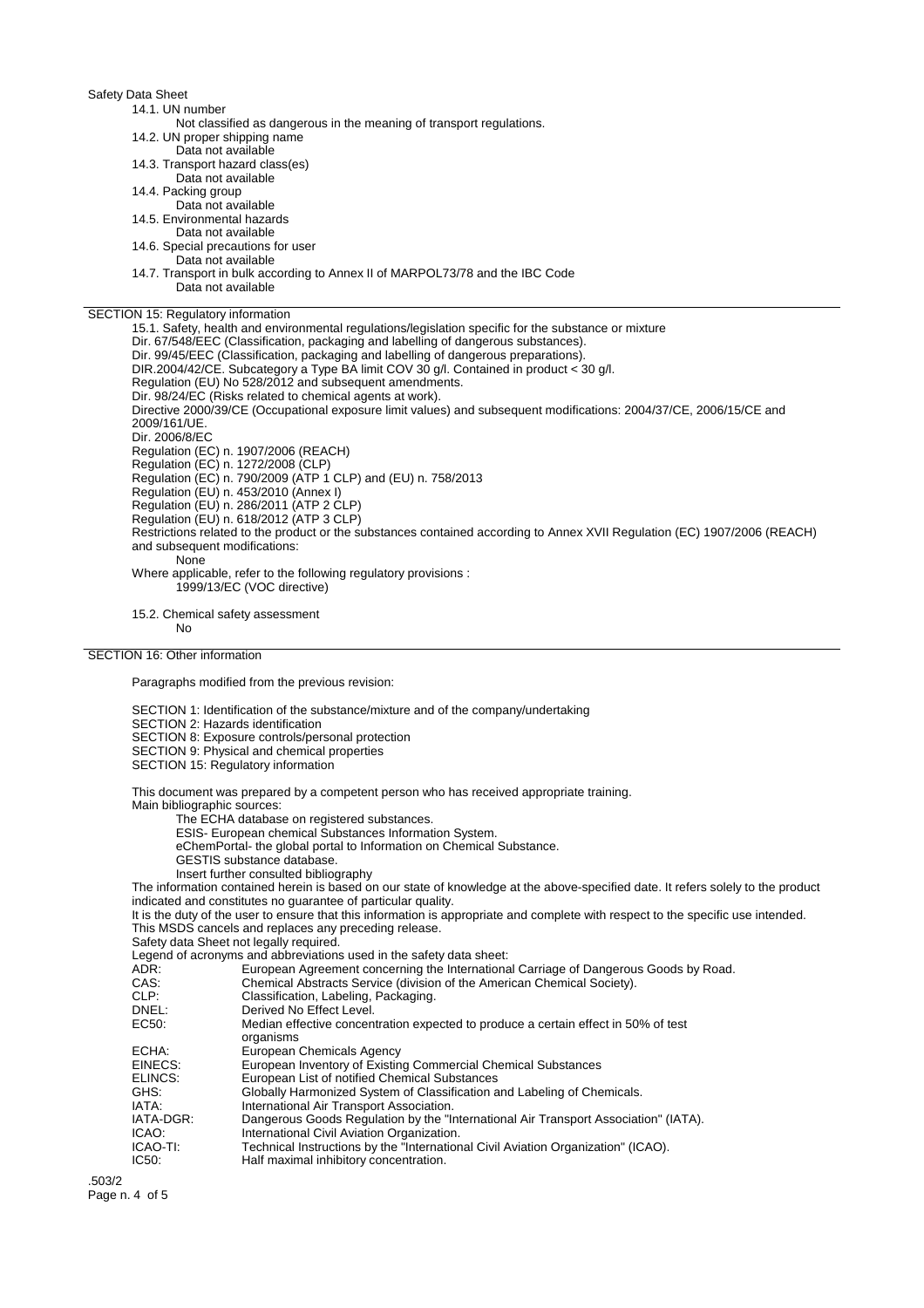### Safety Data Sheet

#### 14.1. UN number

- Not classified as dangerous in the meaning of transport regulations.
- 14.2. UN proper shipping name
- Data not available
- 14.3. Transport hazard class(es)
- Data not available
- 14.4. Packing group
- Data not available
- 14.5. Environmental hazards
- Data not available
- 14.6. Special precautions for user
- Data not available
- 14.7. Transport in bulk according to Annex II of MARPOL73/78 and the IBC Code Data not available

## SECTION 15: Regulatory information

15.1. Safety, health and environmental regulations/legislation specific for the substance or mixture Dir. 67/548/EEC (Classification, packaging and labelling of dangerous substances). Dir. 99/45/EEC (Classification, packaging and labelling of dangerous preparations). DIR.2004/42/CE. Subcategory a Type BA limit COV 30 g/l. Contained in product < 30 g/l. Regulation (EU) No 528/2012 and subsequent amendments. Dir. 98/24/EC (Risks related to chemical agents at work). Directive 2000/39/CE (Occupational exposure limit values) and subsequent modifications: 2004/37/CE, 2006/15/CE and 2009/161/UE. Dir. 2006/8/EC Regulation (EC) n. 1907/2006 (REACH) Regulation (EC) n. 1272/2008 (CLP) Regulation (EC) n. 790/2009 (ATP 1 CLP) and (EU) n. 758/2013 Regulation (EU) n. 453/2010 (Annex I) Regulation (EU) n. 286/2011 (ATP 2 CLP) Regulation (EU) n. 618/2012 (ATP 3 CLP) Restrictions related to the product or the substances contained according to Annex XVII Regulation (EC) 1907/2006 (REACH) and subsequent modifications: None Where applicable, refer to the following regulatory provisions : 1999/13/EC (VOC directive)

15.2. Chemical safety assessment No

## SECTION 16: Other information

Paragraphs modified from the previous revision:

SECTION 1: Identification of the substance/mixture and of the company/undertaking

SECTION 2: Hazards identification

- SECTION 8: Exposure controls/personal protection
- SECTION 9: Physical and chemical properties
- SECTION 15: Regulatory information

This document was prepared by a competent person who has received appropriate training.

Main bibliographic sources:

The ECHA database on registered substances.

- ESIS- European chemical Substances Information System.
- eChemPortal- the global portal to Information on Chemical Substance.
- GESTIS substance database.
- Insert further consulted bibliography

The information contained herein is based on our state of knowledge at the above-specified date. It refers solely to the product indicated and constitutes no guarantee of particular quality.

It is the duty of the user to ensure that this information is appropriate and complete with respect to the specific use intended. This MSDS cancels and replaces any preceding release.

Safety data Sheet not legally required.

Legend of acronyms and abbreviations used in the safety data sheet:

| ADR:      | European Agreement concerning the International Carriage of Dangerous Goods by Road.            |
|-----------|-------------------------------------------------------------------------------------------------|
| CAS:      | Chemical Abstracts Service (division of the American Chemical Society).                         |
| CLP:      | Classification, Labeling, Packaging.                                                            |
| DNEL:     | Derived No Effect Level.                                                                        |
| EC50:     | Median effective concentration expected to produce a certain effect in 50% of test<br>organisms |
| ECHA:     | European Chemicals Agency                                                                       |
| EINECS:   | European Inventory of Existing Commercial Chemical Substances                                   |
| ELINCS:   | European List of notified Chemical Substances                                                   |
| GHS:      | Globally Harmonized System of Classification and Labeling of Chemicals.                         |
| IATA:     | International Air Transport Association.                                                        |
| IATA-DGR: | Dangerous Goods Regulation by the "International Air Transport Association" (IATA).             |
| ICAO:     | International Civil Aviation Organization.                                                      |
| ICAO-TI:  | Technical Instructions by the "International Civil Aviation Organization" (ICAO).               |
| IC50:     | Half maximal inhibitory concentration.                                                          |
|           |                                                                                                 |